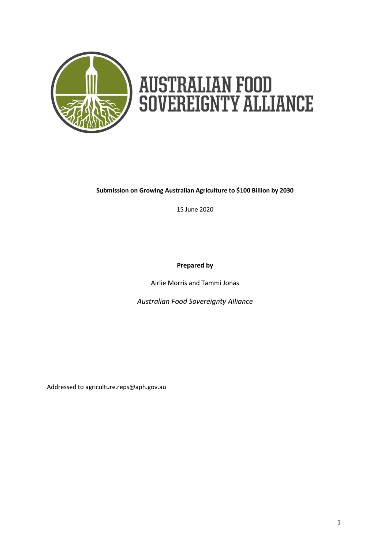

# **AUSTRALIAN FOOD<br>SOVEREIGNTY ALLIANCE**

## **Submission on Growing Australian Agriculture to \$100 Billion by 2030**

15 June 2020

**Prepared by**

Airlie Morris and Tammi Jonas

*Australian Food Sovereignty Alliance*

Addressed to agriculture.reps@aph.gov.au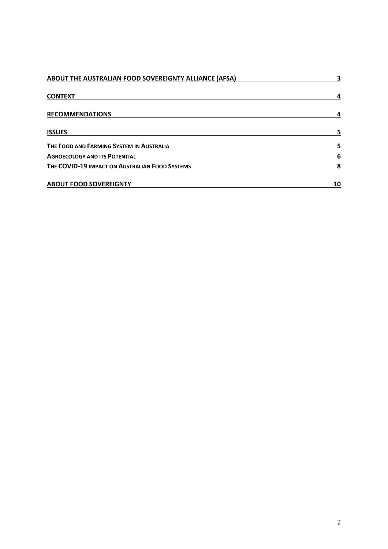| ABOUT THE AUSTRALIAN FOOD SOVEREIGNTY ALLIANCE (AFSA) | 3  |
|-------------------------------------------------------|----|
| <b>CONTEXT</b>                                        | 4  |
| <b>RECOMMENDATIONS</b>                                |    |
| <b>ISSUES</b>                                         | 5  |
| THE FOOD AND FARMING SYSTEM IN AUSTRALIA              | 5  |
| <b>AGROECOLOGY AND ITS POTENTIAL</b>                  | 6  |
| THE COVID-19 IMPACT ON AUSTRALIAN FOOD SYSTEMS        | 8  |
| <b>ABOUT FOOD SOVEREIGNTY</b>                         | 10 |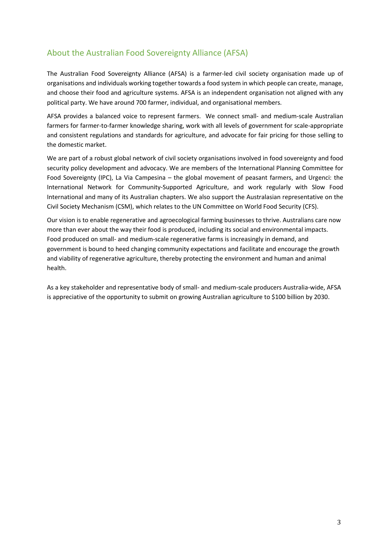# About the Australian Food Sovereignty Alliance (AFSA)

The Australian Food Sovereignty Alliance (AFSA) is a farmer-led civil society organisation made up of organisations and individuals working together towards a food system in which people can create, manage, and choose their food and agriculture systems. AFSA is an independent organisation not aligned with any political party. We have around 700 farmer, individual, and organisational members.

AFSA provides a balanced voice to represent farmers. We connect small- and medium-scale Australian farmers for farmer-to-farmer knowledge sharing, work with all levels of government for scale-appropriate and consistent regulations and standards for agriculture, and advocate for fair pricing for those selling to the domestic market.

We are part of a robust global network of civil society organisations involved in food sovereignty and food security policy development and advocacy. We are members of the International Planning Committee for Food Sovereignty (IPC), La Via Campesina – the global movement of peasant farmers, and Urgenci: the International Network for Community-Supported Agriculture, and work regularly with Slow Food International and many of its Australian chapters. We also support the Australasian representative on the Civil Society Mechanism (CSM), which relates to the UN Committee on World Food Security (CFS).

Our vision is to enable regenerative and agroecological farming businesses to thrive. Australians care now more than ever about the way their food is produced, including its social and environmental impacts. Food produced on small- and medium-scale regenerative farms is increasingly in demand, and government is bound to heed changing community expectations and facilitate and encourage the growth and viability of regenerative agriculture, thereby protecting the environment and human and animal health.

As a key stakeholder and representative body of small- and medium-scale producers Australia-wide, AFSA is appreciative of the opportunity to submit on growing Australian agriculture to \$100 billion by 2030.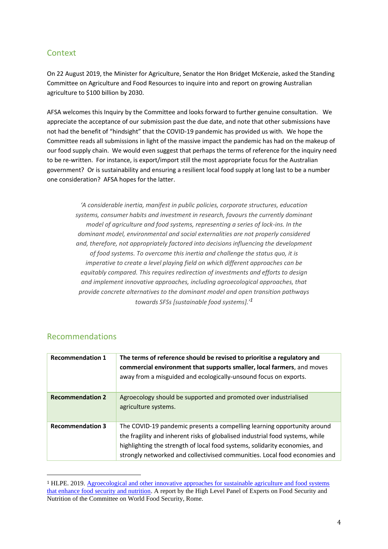# **Context**

On 22 August 2019, the Minister for Agriculture, Senator the Hon Bridget McKenzie, asked the Standing Committee on Agriculture and Food Resources to inquire into and report on growing Australian agriculture to \$100 billion by 2030.

AFSA welcomes this Inquiry by the Committee and looks forward to further genuine consultation. We appreciate the acceptance of our submission past the due date, and note that other submissions have not had the benefit of "hindsight" that the COVID-19 pandemic has provided us with. We hope the Committee reads all submissions in light of the massive impact the pandemic has had on the makeup of our food supply chain. We would even suggest that perhaps the terms of reference for the inquiry need to be re-written. For instance, is export/import still the most appropriate focus for the Australian government? Or is sustainability and ensuring a resilient local food supply at long last to be a number one consideration? AFSA hopes for the latter.

*'A considerable inertia, manifest in public policies, corporate structures, education systems, consumer habits and investment in research, favours the currently dominant model of agriculture and food systems, representing a series of lock-ins. In the dominant model, environmental and social externalities are not properly considered and, therefore, not appropriately factored into decisions influencing the development of food systems. To overcome this inertia and challenge the status quo, it is imperative to create a level playing field on which different approaches can be equitably compared. This requires redirection of investments and efforts to design and implement innovative approaches, including agroecological approaches, that provide concrete alternatives to the dominant model and open transition pathways towards SFSs [sustainable food systems].'<sup>1</sup>*

| <b>Recommendation 1</b> | The terms of reference should be revised to prioritise a regulatory and<br>commercial environment that supports smaller, local farmers, and moves<br>away from a misguided and ecologically-unsound focus on exports.                                                                                                |
|-------------------------|----------------------------------------------------------------------------------------------------------------------------------------------------------------------------------------------------------------------------------------------------------------------------------------------------------------------|
| <b>Recommendation 2</b> | Agroecology should be supported and promoted over industrialised<br>agriculture systems.                                                                                                                                                                                                                             |
| <b>Recommendation 3</b> | The COVID-19 pandemic presents a compelling learning opportunity around<br>the fragility and inherent risks of globalised industrial food systems, while<br>highlighting the strength of local food systems, solidarity economies, and<br>strongly networked and collectivised communities. Local food economies and |

<sup>1</sup> HLPE. 2019. [Agroecological and other innovative approaches for sustainable agriculture and food systems](http://www.fao.org/3/ca5602en/ca5602en.pdf)  [that enhance food security and nutrition.](http://www.fao.org/3/ca5602en/ca5602en.pdf) A report by the High Level Panel of Experts on Food Security and Nutrition of the Committee on World Food Security, Rome.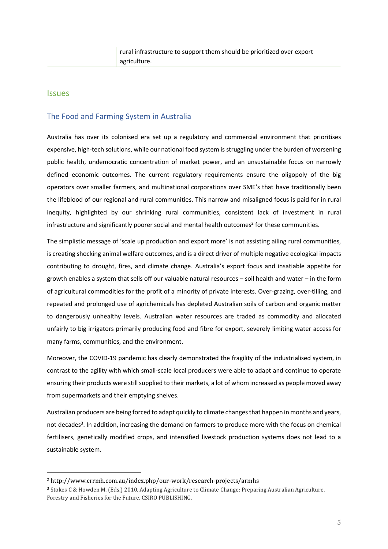| rural infrastructure to support them should be prioritized over export |
|------------------------------------------------------------------------|
| agriculture.                                                           |

#### Issues

## The Food and Farming System in Australia

Australia has over its colonised era set up a regulatory and commercial environment that prioritises expensive, high-tech solutions, while our national food system is struggling under the burden of worsening public health, undemocratic concentration of market power, and an unsustainable focus on narrowly defined economic outcomes. The current regulatory requirements ensure the oligopoly of the big operators over smaller farmers, and multinational corporations over SME's that have traditionally been the lifeblood of our regional and rural communities. This narrow and misaligned focus is paid for in rural inequity, highlighted by our shrinking rural communities, consistent lack of investment in rural infrastructure and significantly poorer social and mental health outcomes $^2$  for these communities.

The simplistic message of 'scale up production and export more' is not assisting ailing rural communities, is creating shocking animal welfare outcomes, and is a direct driver of multiple negative ecological impacts contributing to drought, fires, and climate change. Australia's export focus and insatiable appetite for growth enables a system that sells off our valuable natural resources – soil health and water – in the form of agricultural commodities for the profit of a minority of private interests. Over-grazing, over-tilling, and repeated and prolonged use of agrichemicals has depleted Australian soils of carbon and organic matter to dangerously unhealthy levels. Australian water resources are traded as commodity and allocated unfairly to big irrigators primarily producing food and fibre for export, severely limiting water access for many farms, communities, and the environment.

Moreover, the COVID-19 pandemic has clearly demonstrated the fragility of the industrialised system, in contrast to the agility with which small-scale local producers were able to adapt and continue to operate ensuring their products were still supplied to their markets, a lot of whom increased as people moved away from supermarkets and their emptying shelves.

Australian producers are being forced to adapt quickly to climate changes that happen in months and years, not decades<sup>3</sup>. In addition, increasing the demand on farmers to produce more with the focus on chemical fertilisers, genetically modified crops, and intensified livestock production systems does not lead to a sustainable system.

<sup>2</sup> http://www.crrmh.com.au/index.php/our-work/research-projects/armhs

<sup>3</sup> Stokes C & Howden M. (Eds.) 2010. Adapting Agriculture to Climate Change: Preparing Australian Agriculture, Forestry and Fisheries for the Future. CSIRO PUBLISHING.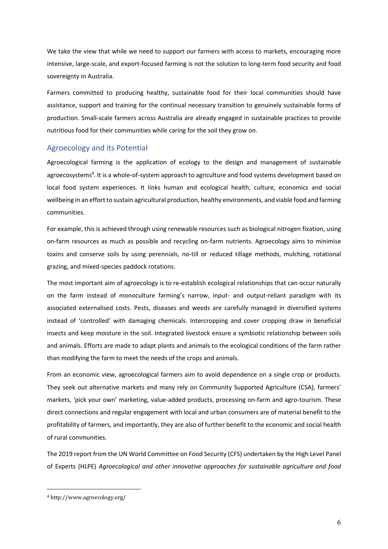We take the view that while we need to support our farmers with access to markets, encouraging more intensive, large-scale, and export-focused farming is not the solution to long-term food security and food sovereignty in Australia.

Farmers committed to producing healthy, sustainable food for their local communities should have assistance, support and training for the continual necessary transition to genuinely sustainable forms of production. Small-scale farmers across Australia are already engaged in sustainable practices to provide nutritious food for their communities while caring for the soil they grow on.

### Agroecology and its Potential

Agroecological farming is the application of ecology to the design and management of sustainable agroecosystems<sup>4</sup>. It is a whole-of-system approach to agriculture and food systems development based on local food system experiences. It links human and ecological health, culture, economics and social wellbeing in an effort to sustain agricultural production, healthy environments, and viable food and farming communities.

For example, this is achieved through using renewable resources such as biological nitrogen fixation, using on-farm resources as much as possible and recycling on-farm nutrients. Agroecology aims to minimise toxins and conserve soils by using perennials, no-till or reduced tillage methods, mulching, rotational grazing, and mixed-species paddock rotations.

The most important aim of agroecology is to re-establish ecological relationships that can occur naturally on the farm instead of monoculture farming's narrow, input- and output-reliant paradigm with its associated externalised costs. Pests, diseases and weeds are carefully managed in diversified systems instead of 'controlled' with damaging chemicals. Intercropping and cover cropping draw in beneficial insects and keep moisture in the soil. Integrated livestock ensure a symbiotic relationship between soils and animals. Efforts are made to adapt plants and animals to the ecological conditions of the farm rather than modifying the farm to meet the needs of the crops and animals.

From an economic view, agroecological farmers aim to avoid dependence on a single crop or products. They seek out alternative markets and many rely on Community Supported Agriculture (CSA), farmers' markets, 'pick your own' marketing, value-added products, processing on-farm and agro-tourism. These direct connections and regular engagement with local and urban consumers are of material benefit to the profitability of farmers, and importantly, they are also of further benefit to the economic and social health of rural communities.

The 2019 report from the UN World Committee on Food Security (CFS) undertaken by the High Level Panel of Experts (HLPE) *Agroecological and other innovative approaches for sustainable agriculture and food* 

<sup>4</sup> http://www.agroecology.org/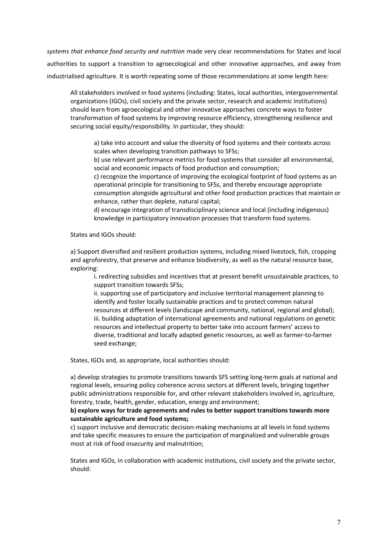*systems that enhance food security and nutrition* made very clear recommendations for States and local authorities to support a transition to agroecological and other innovative approaches, and away from industrialised agriculture. It is worth repeating some of those recommendations at some length here:

All stakeholders involved in food systems (including: States, local authorities, intergovernmental organizations (IGOs), civil society and the private sector, research and academic institutions) should learn from agroecological and other innovative approaches concrete ways to foster transformation of food systems by improving resource efficiency, strengthening resilience and securing social equity/responsibility. In particular, they should:

a) take into account and value the diversity of food systems and their contexts across scales when developing transition pathways to SFSs;

b) use relevant performance metrics for food systems that consider all environmental, social and economic impacts of food production and consumption;

c) recognize the importance of improving the ecological footprint of food systems as an operational principle for transitioning to SFSs, and thereby encourage appropriate consumption alongside agricultural and other food production practices that maintain or enhance, rather than deplete, natural capital;

d) encourage integration of transdisciplinary science and local (including indigenous) knowledge in participatory innovation processes that transform food systems.

States and IGOs should:

a) Support diversified and resilient production systems, including mixed livestock, fish, cropping and agroforestry, that preserve and enhance biodiversity, as well as the natural resource base, exploring:

i. redirecting subsidies and incentives that at present benefit unsustainable practices, to support transition towards SFSs;

ii. supporting use of participatory and inclusive territorial management planning to identify and foster locally sustainable practices and to protect common natural resources at different levels (landscape and community, national, regional and global); iii. building adaptation of international agreements and national regulations on genetic resources and intellectual property to better take into account farmers' access to diverse, traditional and locally adapted genetic resources, as well as farmer-to-farmer seed exchange;

States, IGOs and, as appropriate, local authorities should:

a) develop strategies to promote transitions towards SFS setting long-term goals at national and regional levels, ensuring policy coherence across sectors at different levels, bringing together public administrations responsible for, and other relevant stakeholders involved in, agriculture, forestry, trade, health, gender, education, energy and environment;

#### **b) explore ways for trade agreements and rules to better support transitions towards more sustainable agriculture and food systems;**

c) support inclusive and democratic decision-making mechanisms at all levels in food systems and take specific measures to ensure the participation of marginalized and vulnerable groups most at risk of food insecurity and malnutrition;

States and IGOs, in collaboration with academic institutions, civil society and the private sector, should: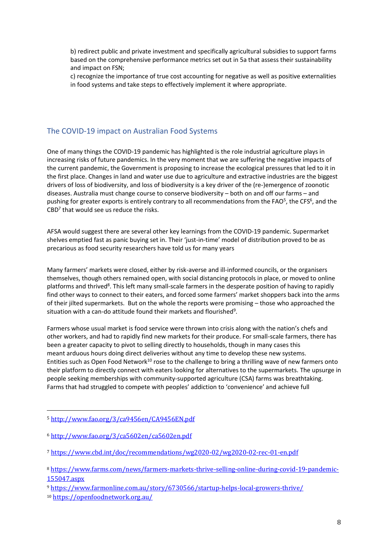b) redirect public and private investment and specifically agricultural subsidies to support farms based on the comprehensive performance metrics set out in 5a that assess their sustainability and impact on FSN;

c) recognize the importance of true cost accounting for negative as well as positive externalities in food systems and take steps to effectively implement it where appropriate.

## The COVID-19 impact on Australian Food Systems

One of many things the COVID-19 pandemic has highlighted is the role industrial agriculture plays in increasing risks of future pandemics. In the very moment that we are suffering the negative impacts of the current pandemic, the Government is proposing to increase the ecological pressures that led to it in the first place. Changes in land and water use due to agriculture and extractive industries are the biggest drivers of loss of biodiversity, and loss of biodiversity is a key driver of the (re-)emergence of zoonotic diseases. Australia must change course to conserve biodiversity – both on and off our farms – and pushing for greater exports is entirely contrary to all recommendations from the FAO<sup>5</sup>, the CFS<sup>6</sup>, and the  $CBD<sup>7</sup>$  that would see us reduce the risks.

AFSA would suggest there are several other key learnings from the COVID-19 pandemic. Supermarket shelves emptied fast as panic buying set in. Their 'just-in-time' model of distribution proved to be as precarious as food security researchers have told us for many years

Many farmers' markets were closed, either by risk-averse and ill-informed councils, or the organisers themselves, though others remained open, with [social distancing protocols](https://farmersmarkets.org.au/wp-content/uploads/AFMA-FACT-SHEET-CORONA-30-March.pdf) in place, or moved to online platforms and thrived<sup>8</sup>. This left many small-scale farmers in the desperate position of having to rapidly find other ways to connect to their eaters, and forced some farmers' market shoppers back into the arms of their jilted supermarkets. But on the whole the reports were promising – those who approached the situation with a can-do attitude found their markets and flourished $9$ .

Farmers whose usual market is food service were thrown into crisis along with the nation's chefs and other workers, and had to rapidly find new markets for their produce. For small-scale farmers, there has been a greater capacity to pivot to selling directly to households, though in many cases this meant [arduous hours doing direct deliveries](https://www.abc.net.au/news/2020-03-30/coronavirus-crushing-restaurant-suppliers/12089042?fbclid=IwAR1dRJqRNI6ZfjdERcVZhu784v2HjSJB1ycN-9fivocsTw4A7nHo5XEZI_w) without any time to develop these new systems. Entities such as [Open Food Network](https://openfoodnetwork.org.au/)<sup>10</sup> rose to the challenge to bring a thrilling wave of new farmers onto their platform to directly connect with eaters looking for alternatives to the supermarkets. The upsurge in people seeking memberships with community-supported agriculture (CSA) farms was breathtaking. Farms that had struggled to compete with peoples' addiction to 'convenience' and achieve full

<sup>5</sup> <http://www.fao.org/3/ca9456en/CA9456EN.pdf>

<sup>6</sup> <http://www.fao.org/3/ca5602en/ca5602en.pdf>

<sup>7</sup> <https://www.cbd.int/doc/recommendations/wg2020-02/wg2020-02-rec-01-en.pdf>

<sup>8</sup> [https://www.farms.com/news/farmers-markets-thrive-selling-online-during-covid-19-pandemic-](https://www.farms.com/news/farmers-markets-thrive-selling-online-during-covid-19-pandemic-155047.aspx)[155047.aspx](https://www.farms.com/news/farmers-markets-thrive-selling-online-during-covid-19-pandemic-155047.aspx)

<sup>9</sup> <https://www.farmonline.com.au/story/6730566/startup-helps-local-growers-thrive/>

<sup>10</sup> <https://openfoodnetwork.org.au/>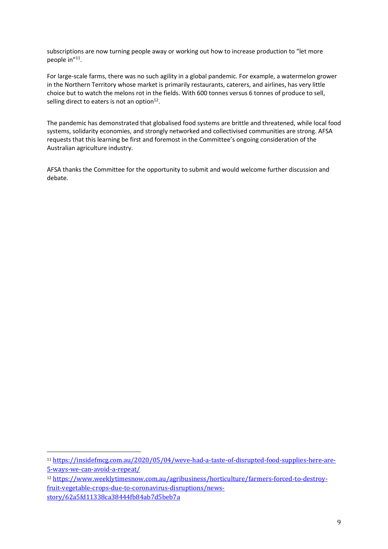subscriptions are now turning people away or working out how to increase production to "let more people in"<sup>11</sup> .

For large-scale farms, there was no such agility in a global pandemic. For example, a watermelon grower in the Northern Territory whose market is primarily restaurants, caterers, and airlines, has very little choice but to watch the melons rot in the fields. With 600 tonnes versus 6 tonnes of produce to sell, selling direct to eaters is not an option $12$ .

The pandemic has demonstrated that globalised food systems are brittle and threatened, while local food systems, solidarity economies, and strongly networked and collectivised communities are strong. AFSA requests that this learning be first and foremost in the Committee's ongoing consideration of the Australian agriculture industry.

AFSA thanks the Committee for the opportunity to submit and would welcome further discussion and debate.

<sup>11</sup> [https://insidefmcg.com.au/2020/05/04/weve-had-a-taste-of-disrupted-food-supplies-here-are-](https://insidefmcg.com.au/2020/05/04/weve-had-a-taste-of-disrupted-food-supplies-here-are-5-ways-we-can-avoid-a-repeat/)[5-ways-we-can-avoid-a-repeat/](https://insidefmcg.com.au/2020/05/04/weve-had-a-taste-of-disrupted-food-supplies-here-are-5-ways-we-can-avoid-a-repeat/)

<sup>12</sup> [https://www.weeklytimesnow.com.au/agribusiness/horticulture/farmers-forced-to-destroy](https://www.weeklytimesnow.com.au/agribusiness/horticulture/farmers-forced-to-destroy-fruit-vegetable-crops-due-to-coronavirus-disruptions/news-story/62a5fd11338ca38444fb84ab7d5beb7a)[fruit-vegetable-crops-due-to-coronavirus-disruptions/news](https://www.weeklytimesnow.com.au/agribusiness/horticulture/farmers-forced-to-destroy-fruit-vegetable-crops-due-to-coronavirus-disruptions/news-story/62a5fd11338ca38444fb84ab7d5beb7a)[story/62a5fd11338ca38444fb84ab7d5beb7a](https://www.weeklytimesnow.com.au/agribusiness/horticulture/farmers-forced-to-destroy-fruit-vegetable-crops-due-to-coronavirus-disruptions/news-story/62a5fd11338ca38444fb84ab7d5beb7a)